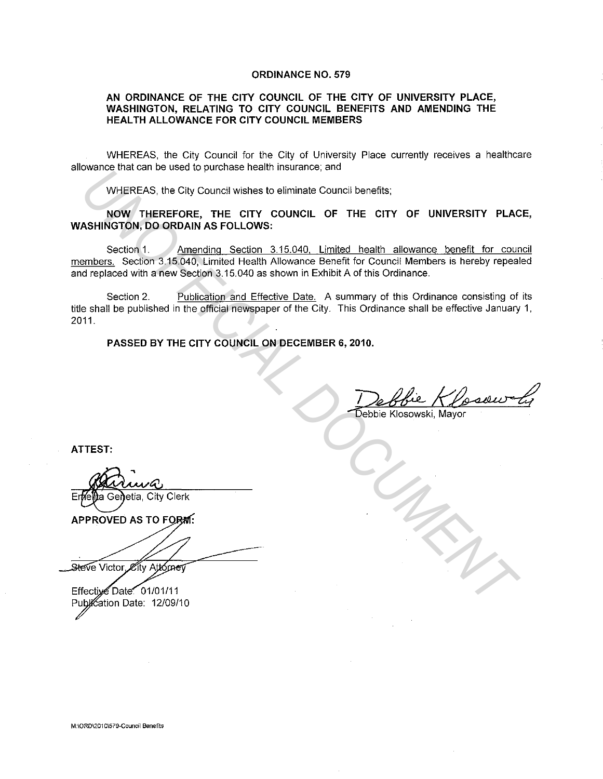## **ORDINANCE NO. 579**

## **AN ORDINANCE OF THE CITY COUNCIL OF THE CITY OF UNIVERSITY PLACE, WASHINGTON, RELATING TO CITY COUNCIL BENEFITS AND AMENDING THE HEAL TH ALLOWANCE FOR CITY COUNCIL MEMBERS**

WHEREAS, the City Council for the City of University Place currently receives a healthcare allowance that can be used to purchase health insurance; and

WHEREAS, the City Council wishes to eliminate Council benefits;

**NOW THEREFORE, THE CITY COUNCIL OF THE CITY OF UNIVERSITY PLACE, WASHINGTON, DO ORDAIN AS FOLLOWS:** 

Section 1. Amending Section 3.15.040, Limited health allowance benefit for council members. Section 3.15.040, Limited Health Allowance Benefit for Council Members is hereby repealed and replaced with a new Section 3.15.040 as shown in Exhibit A of this Ordinance. WHEREAS, the City Council wishs to eliminate council benefits;<br> **WHEREAS, the City Council wishs to eliminate Council benefits;**<br> **UNOFFICIAL DOCUMENTAL DOCUMENTAL DOCUMENTAL DOCUMENTAL ASHINGTON, DO ORDAIN AS FOLLOWS:**<br>
S

Section 2. Publication and Effective Date. A summary of this Ordinance consisting of its title shall be published in the official newspaper of the City. This Ordinance shall be effective January 1, 2011.

**PASSED BY THE CITY COUNCIL ON DECEMBER 6, 2010.** 

1 De BBie Klosell<br>Debbie Klosowski, Mayor

**ATTEST:**